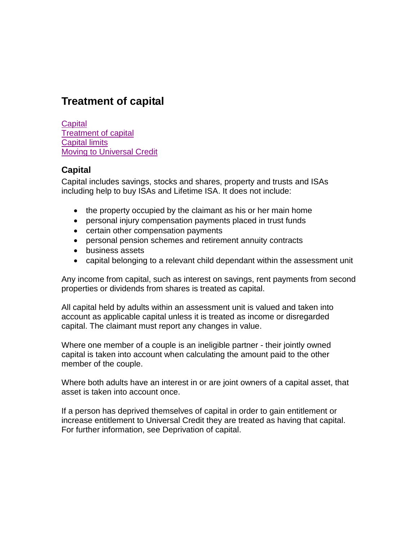# **Treatment of capital**

**[Capital](#page-0-0)** [Treatment of capital](#page-1-0) [Capital limits](#page-2-0) **[Moving to Universal Credit](#page-2-1)** 

## <span id="page-0-0"></span>**Capital**

Capital includes savings, stocks and shares, property and trusts and ISAs including help to buy ISAs and Lifetime ISA. It does not include:

- the property occupied by the claimant as his or her main home
- personal injury compensation payments placed in trust funds
- certain other compensation payments
- personal pension schemes and retirement annuity contracts
- business assets
- capital belonging to a relevant child dependant within the assessment unit

Any income from capital, such as interest on savings, rent payments from second properties or dividends from shares is treated as capital.

All capital held by adults within an assessment unit is valued and taken into account as applicable capital unless it is treated as income or disregarded capital. The claimant must report any changes in value.

Where one member of a couple is an ineligible partner - their jointly owned capital is taken into account when calculating the amount paid to the other member of the couple.

Where both adults have an interest in or are joint owners of a capital asset, that asset is taken into account once.

If a person has deprived themselves of capital in order to gain entitlement or increase entitlement to Universal Credit they are treated as having that capital. For further information, see Deprivation of capital.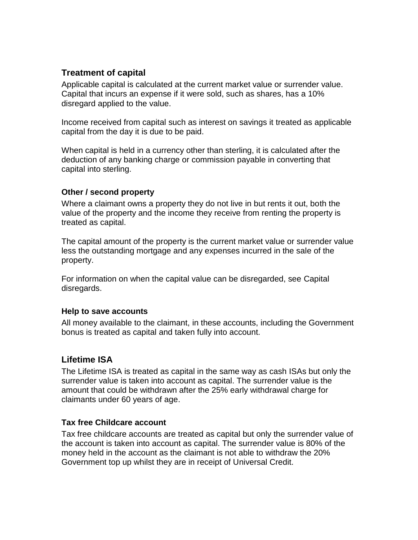# <span id="page-1-0"></span>**Treatment of capital**

Applicable capital is calculated at the current market value or surrender value. Capital that incurs an expense if it were sold, such as shares, has a 10% disregard applied to the value.

Income received from capital such as interest on savings it treated as applicable capital from the day it is due to be paid.

When capital is held in a currency other than sterling, it is calculated after the deduction of any banking charge or commission payable in converting that capital into sterling.

#### **Other / second property**

Where a claimant owns a property they do not live in but rents it out, both the value of the property and the income they receive from renting the property is treated as capital.

The capital amount of the property is the current market value or surrender value less the outstanding mortgage and any expenses incurred in the sale of the property.

For information on when the capital value can be disregarded, see Capital disregards.

#### **Help to save accounts**

All money available to the claimant, in these accounts, including the Government bonus is treated as capital and taken fully into account.

# **Lifetime ISA**

The Lifetime ISA is treated as capital in the same way as cash ISAs but only the surrender value is taken into account as capital. The surrender value is the amount that could be withdrawn after the 25% early withdrawal charge for claimants under 60 years of age.

#### **Tax free Childcare account**

Tax free childcare accounts are treated as capital but only the surrender value of the account is taken into account as capital. The surrender value is 80% of the money held in the account as the claimant is not able to withdraw the 20% Government top up whilst they are in receipt of Universal Credit.